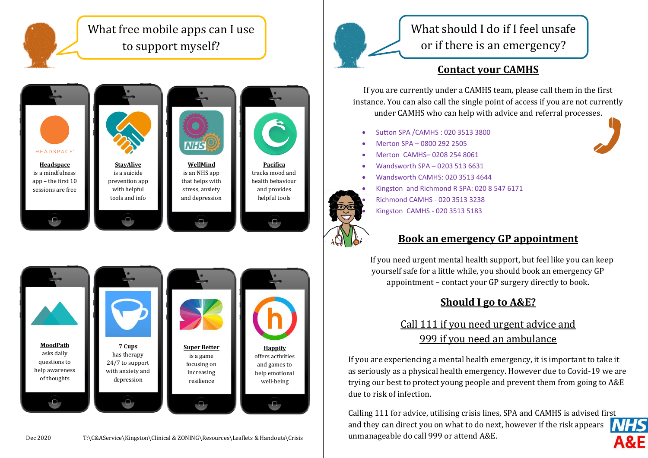





What should I do if I feel unsafe or if there is an emergency?

## **Contact your CAMHS**

If you are currently under a CAMHS team, please call them in the first instance. You can also call the single point of access if you are not currently under CAMHS who can help with advice and referral processes.

- Sutton SPA /CAMHS : 020 3513 3800
- Merton SPA 0800 292 2505
- Merton CAMHS– 0208 254 8061
- Wandsworth SPA 0203 513 6631
- Wandsworth CAMHS: 020 3513 4644
- Kingston and Richmond R SPA: 020 8 547 6171



 Richmond CAMHS - 020 3513 3238 Kingston CAMHS - 020 3513 5183

**Book an emergency GP appointment**

 If you need urgent mental health support, but feel like you can keep yourself safe for a little while, you should book an emergency GP appointment – contact your GP surgery directly to book.

## **Should I go to A&E?**

#### Call 111 if you need urgent advice and 999 if you need an ambulance teams or potential hospital admissions)

If you are experiencing a mental health emergency, it is important to take it as seriously as a physical health emergency. However due to Covid-19 we are trying our best to protect young people and prevent them from going to A&E due to risk of infection.

Calling 111 for advice, utilising crisis lines, SPA and CAMHS is advised fi[rst](https://www.google.co.uk/url?sa=i&rct=j&q=&esrc=s&source=images&cd=&cad=rja&uact=8&ved=2ahUKEwiwzOrEq_TeAhUh4YUKHfqSAxcQjRx6BAgBEAU&url=https://www.hotukdeals.com/deals/free-nhs-ae-waiting-time-app-currently-selected-hospitals-2854845&psig=AOvVaw1Cqj7uyxrslTLykwUDmTh-&ust=1543400049411123)  **NHS** and they can direct you on what to do next, however if the risk appears unmanageable do call 999 or attend A&E.